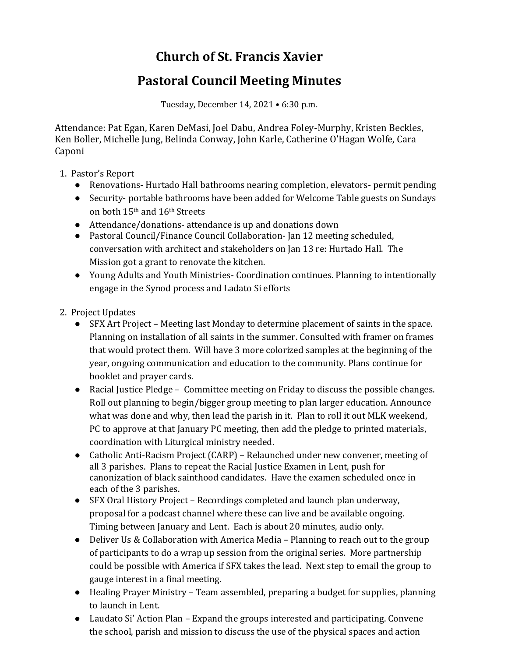## **Church of St. Francis Xavier**

## **Pastoral Council Meeting Minutes**

Tuesday, December 14, 2021 • 6:30 p.m.

Attendance: Pat Egan, Karen DeMasi, Joel Dabu, Andrea Foley-Murphy, Kristen Beckles, Ken Boller, Michelle Jung, Belinda Conway, John Karle, Catherine O'Hagan Wolfe, Cara Caponi

- 1. Pastor's Report
	- Renovations-Hurtado Hall bathrooms nearing completion, elevators- permit pending
	- Security- portable bathrooms have been added for Welcome Table guests on Sundays on both 15th and 16th Streets
	- Attendance/donations- attendance is up and donations down
	- Pastoral Council/Finance Council Collaboration- Jan 12 meeting scheduled, conversation with architect and stakeholders on Jan 13 re: Hurtado Hall. The Mission got a grant to renovate the kitchen.
	- Young Adults and Youth Ministries- Coordination continues. Planning to intentionally engage in the Synod process and Ladato Si efforts
- 2. Project Updates
	- SFX Art Project Meeting last Monday to determine placement of saints in the space. Planning on installation of all saints in the summer. Consulted with framer on frames that would protect them. Will have 3 more colorized samples at the beginning of the year, ongoing communication and education to the community. Plans continue for booklet and prayer cards.
	- Racial Justice Pledge Committee meeting on Friday to discuss the possible changes. Roll out planning to begin/bigger group meeting to plan larger education. Announce what was done and why, then lead the parish in it. Plan to roll it out MLK weekend, PC to approve at that January PC meeting, then add the pledge to printed materials, coordination with Liturgical ministry needed.
	- Catholic Anti-Racism Project (CARP) Relaunched under new convener, meeting of all 3 parishes. Plans to repeat the Racial Justice Examen in Lent, push for canonization of black sainthood candidates. Have the examen scheduled once in each of the 3 parishes.
	- SFX Oral History Project Recordings completed and launch plan underway, proposal for a podcast channel where these can live and be available ongoing. Timing between January and Lent. Each is about 20 minutes, audio only.
	- Deliver Us & Collaboration with America Media Planning to reach out to the group of participants to do a wrap up session from the original series. More partnership could be possible with America if SFX takes the lead. Next step to email the group to gauge interest in a final meeting.
	- Healing Prayer Ministry Team assembled, preparing a budget for supplies, planning to launch in Lent.
	- Laudato Si' Action Plan Expand the groups interested and participating. Convene the school, parish and mission to discuss the use of the physical spaces and action